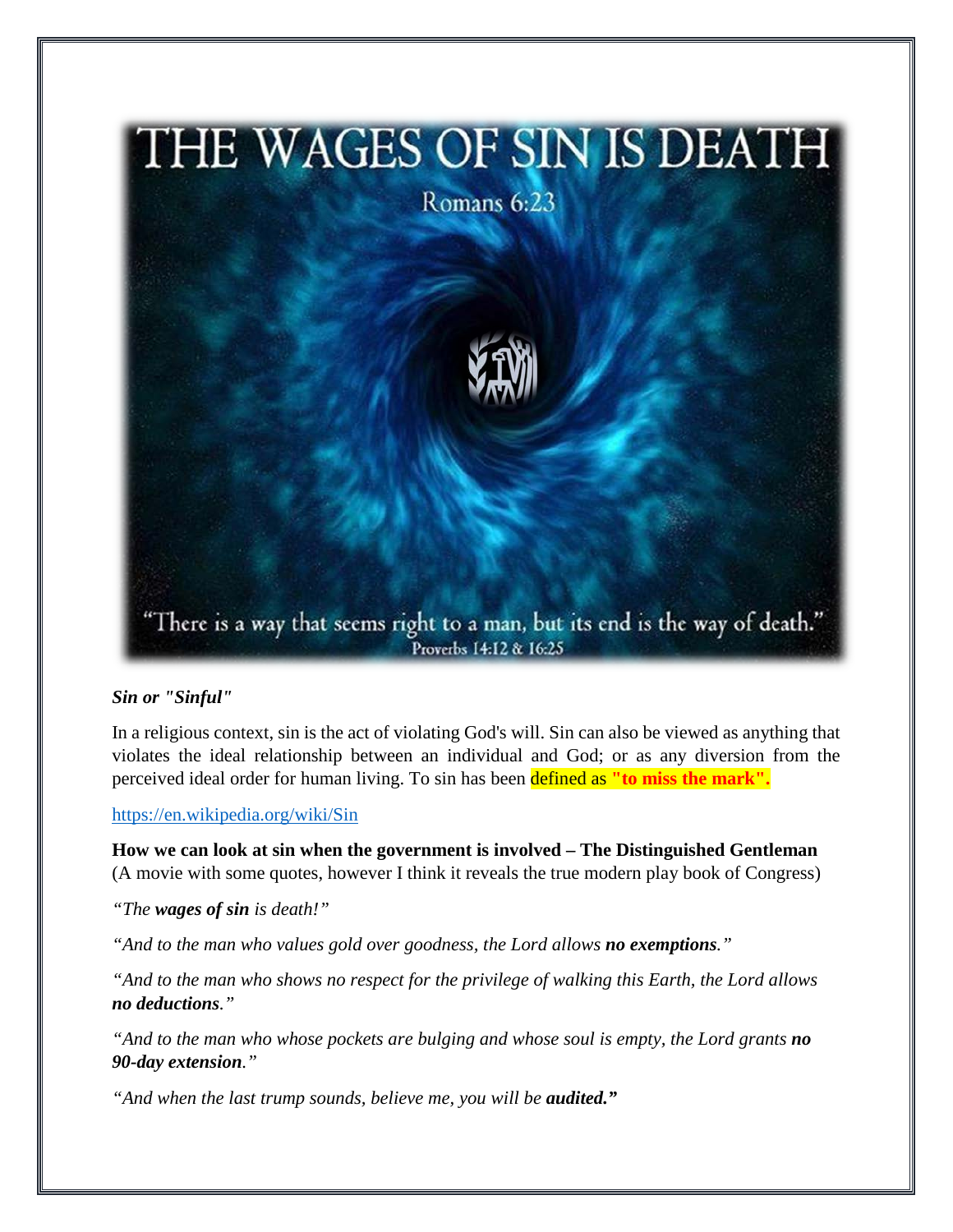

## *Sin or "Sinful"*

In a religious context, sin is the act of violating God's will. Sin can also be viewed as anything that violates the ideal relationship between an individual and God; or as any diversion from the perceived ideal order for human living. To sin has been defined as **"to miss the mark".**

<https://en.wikipedia.org/wiki/Sin>

**How we can look at sin when the government is involved – The Distinguished Gentleman**  (A movie with some quotes, however I think it reveals the true modern play book of Congress)

*"The wages of sin is death!"*

*"And to the man who values gold over goodness, the Lord allows no exemptions."*

*"And to the man who shows no respect for the privilege of walking this Earth, the Lord allows no deductions."*

*"And to the man who whose pockets are bulging and whose soul is empty, the Lord grants no 90-day extension."* 

"And when the last trump sounds, believe me, you will be **audited.**"